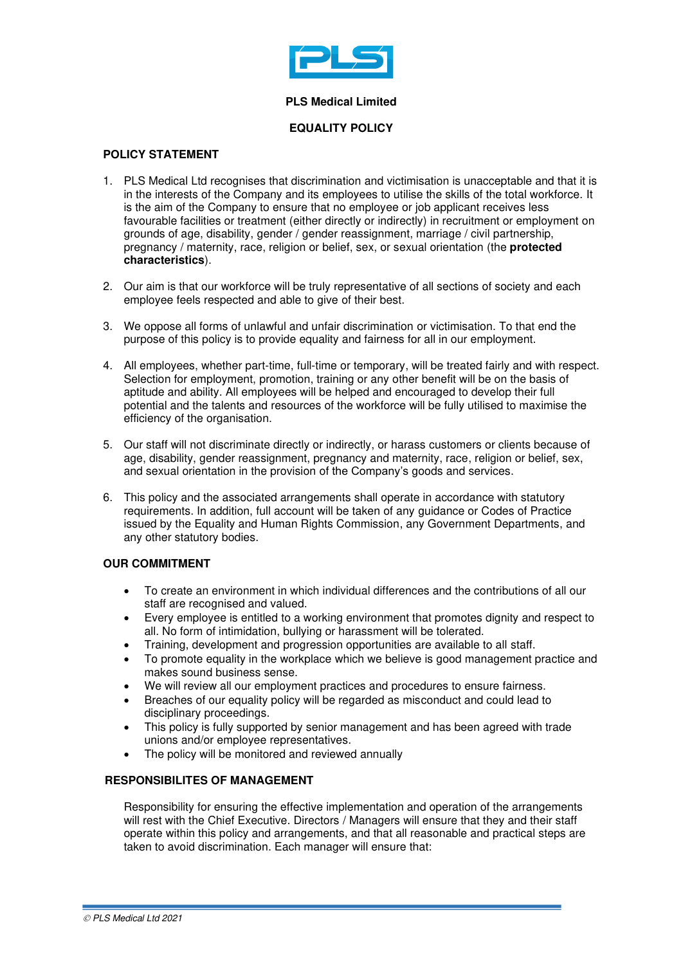

### **PLS Medical Limited**

## **EQUALITY POLICY**

## **POLICY STATEMENT**

- 1. PLS Medical Ltd recognises that discrimination and victimisation is unacceptable and that it is in the interests of the Company and its employees to utilise the skills of the total workforce. It is the aim of the Company to ensure that no employee or job applicant receives less favourable facilities or treatment (either directly or indirectly) in recruitment or employment on grounds of age, disability, gender / gender reassignment, marriage / civil partnership, pregnancy / maternity, race, religion or belief, sex, or sexual orientation (the **protected characteristics**).
- 2. Our aim is that our workforce will be truly representative of all sections of society and each employee feels respected and able to give of their best.
- 3. We oppose all forms of unlawful and unfair discrimination or victimisation. To that end the purpose of this policy is to provide equality and fairness for all in our employment.
- 4. All employees, whether part-time, full-time or temporary, will be treated fairly and with respect. Selection for employment, promotion, training or any other benefit will be on the basis of aptitude and ability. All employees will be helped and encouraged to develop their full potential and the talents and resources of the workforce will be fully utilised to maximise the efficiency of the organisation.
- 5. Our staff will not discriminate directly or indirectly, or harass customers or clients because of age, disability, gender reassignment, pregnancy and maternity, race, religion or belief, sex, and sexual orientation in the provision of the Company's goods and services.
- 6. This policy and the associated arrangements shall operate in accordance with statutory requirements. In addition, full account will be taken of any guidance or Codes of Practice issued by the Equality and Human Rights Commission, any Government Departments, and any other statutory bodies.

## **OUR COMMITMENT**

- To create an environment in which individual differences and the contributions of all our staff are recognised and valued.
- Every employee is entitled to a working environment that promotes dignity and respect to all. No form of intimidation, bullying or harassment will be tolerated.
- Training, development and progression opportunities are available to all staff.
- To promote equality in the workplace which we believe is good management practice and makes sound business sense.
- We will review all our employment practices and procedures to ensure fairness.
- Breaches of our equality policy will be regarded as misconduct and could lead to disciplinary proceedings.
- This policy is fully supported by senior management and has been agreed with trade unions and/or employee representatives.
- The policy will be monitored and reviewed annually

# **RESPONSIBILITES OF MANAGEMENT**

Responsibility for ensuring the effective implementation and operation of the arrangements will rest with the Chief Executive. Directors / Managers will ensure that they and their staff operate within this policy and arrangements, and that all reasonable and practical steps are taken to avoid discrimination. Each manager will ensure that: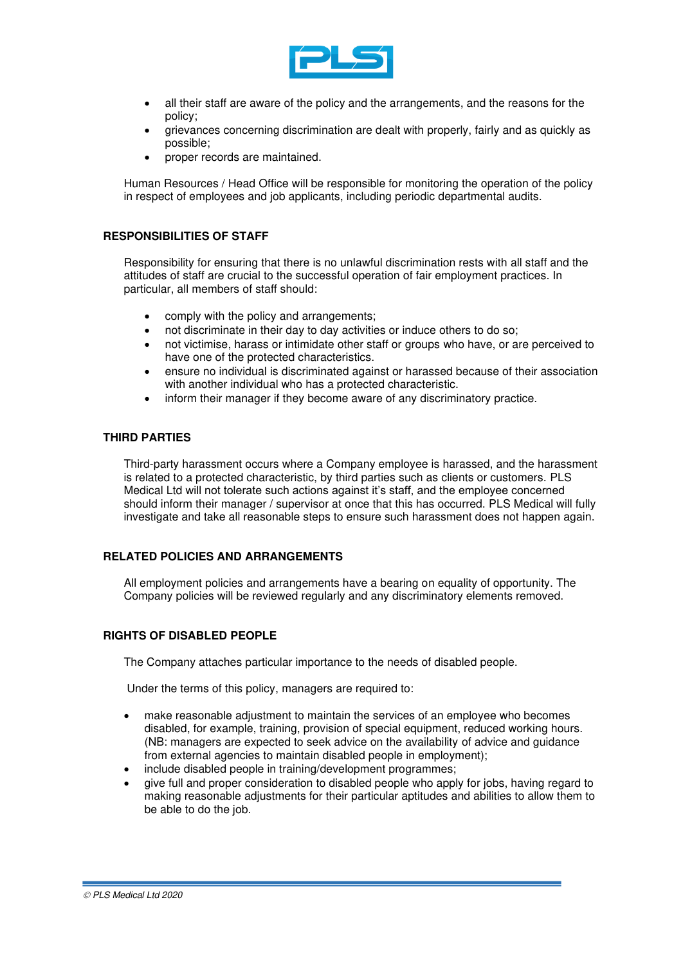

- all their staff are aware of the policy and the arrangements, and the reasons for the policy;
- grievances concerning discrimination are dealt with properly, fairly and as quickly as possible;
- proper records are maintained.

Human Resources / Head Office will be responsible for monitoring the operation of the policy in respect of employees and job applicants, including periodic departmental audits.

### **RESPONSIBILITIES OF STAFF**

Responsibility for ensuring that there is no unlawful discrimination rests with all staff and the attitudes of staff are crucial to the successful operation of fair employment practices. In particular, all members of staff should:

- comply with the policy and arrangements;
- not discriminate in their day to day activities or induce others to do so;
- not victimise, harass or intimidate other staff or groups who have, or are perceived to have one of the protected characteristics.
- ensure no individual is discriminated against or harassed because of their association with another individual who has a protected characteristic.
- inform their manager if they become aware of any discriminatory practice.

## **THIRD PARTIES**

Third-party harassment occurs where a Company employee is harassed, and the harassment is related to a protected characteristic, by third parties such as clients or customers. PLS Medical Ltd will not tolerate such actions against it's staff, and the employee concerned should inform their manager / supervisor at once that this has occurred. PLS Medical will fully investigate and take all reasonable steps to ensure such harassment does not happen again.

## **RELATED POLICIES AND ARRANGEMENTS**

All employment policies and arrangements have a bearing on equality of opportunity. The Company policies will be reviewed regularly and any discriminatory elements removed.

#### **RIGHTS OF DISABLED PEOPLE**

The Company attaches particular importance to the needs of disabled people.

Under the terms of this policy, managers are required to:

- make reasonable adjustment to maintain the services of an employee who becomes disabled, for example, training, provision of special equipment, reduced working hours. (NB: managers are expected to seek advice on the availability of advice and guidance from external agencies to maintain disabled people in employment);
- include disabled people in training/development programmes;
- give full and proper consideration to disabled people who apply for jobs, having regard to making reasonable adjustments for their particular aptitudes and abilities to allow them to be able to do the job.